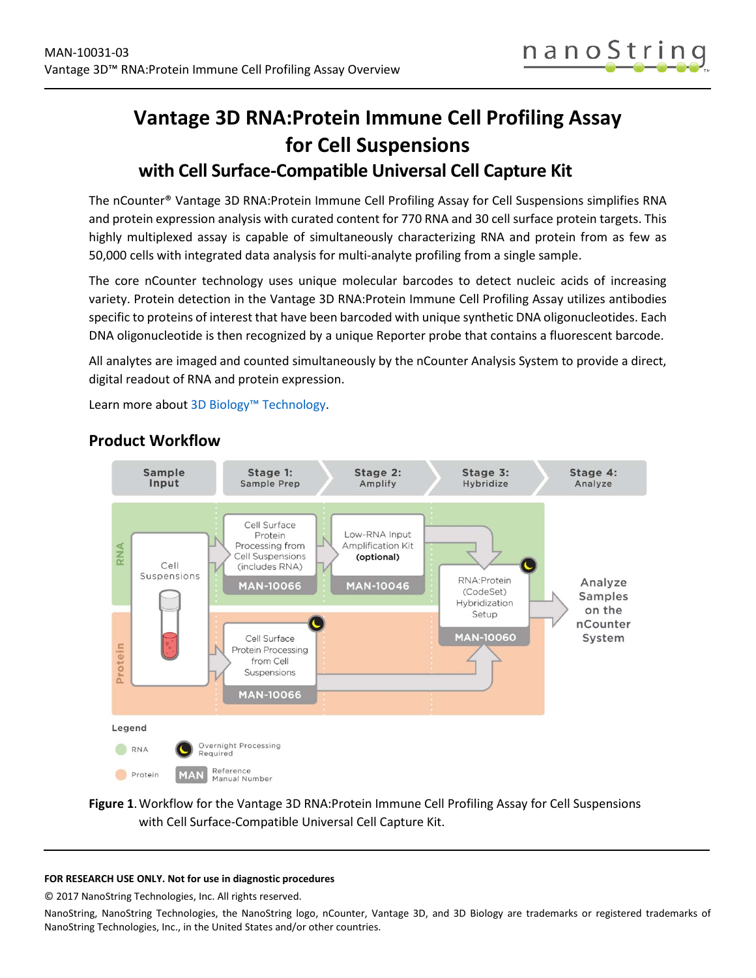

# **Vantage 3D RNA:Protein Immune Cell Profiling Assay for Cell Suspensions**

# **with Cell Surface-Compatible Universal Cell Capture Kit**

The nCounter® Vantage 3D RNA:Protein Immune Cell Profiling Assay for Cell Suspensions simplifies RNA and protein expression analysis with curated content for 770 RNA and 30 cell surface protein targets. This highly multiplexed assay is capable of simultaneously characterizing RNA and protein from as few as 50,000 cells with integrated data analysis for multi-analyte profiling from a single sample.

The core nCounter technology uses unique molecular barcodes to detect nucleic acids of increasing variety. Protein detection in the Vantage 3D RNA:Protein Immune Cell Profiling Assay utilizes antibodies specific to proteins of interest that have been barcoded with unique synthetic DNA oligonucleotides. Each DNA oligonucleotide is then recognized by a unique Reporter probe that contains a fluorescent barcode.

All analytes are imaged and counted simultaneously by the nCounter Analysis System to provide a direct, digital readout of RNA and protein expression.

Learn more abou[t 3D Biology™ Technology.](https://www.nanostring.com/scientific-content/technology-overview/3d-biology-technology)



## **Product Workflow**

### **Figure 1**.Workflow for the Vantage 3D RNA:Protein Immune Cell Profiling Assay for Cell Suspensions with Cell Surface-Compatible Universal Cell Capture Kit.

#### **FOR RESEARCH USE ONLY. Not for use in diagnostic procedures**

© 2017 NanoString Technologies, Inc. All rights reserved.

NanoString, NanoString Technologies, the NanoString logo, nCounter, Vantage 3D, and 3D Biology are trademarks or registered trademarks of NanoString Technologies, Inc., in the United States and/or other countries.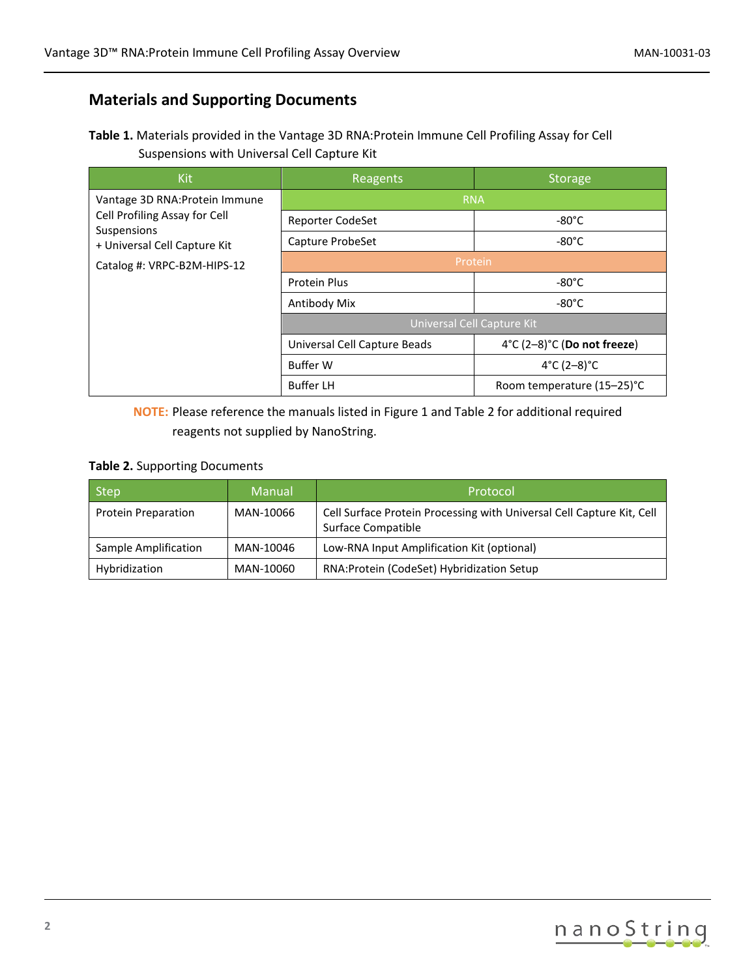## **Materials and Supporting Documents**

| Table 1. Materials provided in the Vantage 3D RNA: Protein Immune Cell Profiling Assay for Cell |
|-------------------------------------------------------------------------------------------------|
| Suspensions with Universal Cell Capture Kit                                                     |

| <b>Kit</b>                                   | <b>Reagents</b>              | <b>Storage</b>              |  |
|----------------------------------------------|------------------------------|-----------------------------|--|
| Vantage 3D RNA: Protein Immune               | <b>RNA</b>                   |                             |  |
| Cell Profiling Assay for Cell<br>Suspensions | Reporter CodeSet             | $-80^{\circ}$ C             |  |
| + Universal Cell Capture Kit                 | Capture ProbeSet             | $-80^{\circ}$ C             |  |
| Catalog #: VRPC-B2M-HIPS-12                  | Protein                      |                             |  |
|                                              | <b>Protein Plus</b>          | $-80^{\circ}$ C             |  |
|                                              | Antibody Mix                 | $-80^{\circ}$ C             |  |
|                                              | Universal Cell Capture Kit   |                             |  |
|                                              | Universal Cell Capture Beads | 4°C (2-8)°C (Do not freeze) |  |
|                                              | <b>Buffer W</b>              | 4°C $(2-8)$ °C              |  |
|                                              | <b>Buffer LH</b>             | Room temperature (15-25)°C  |  |

**NOTE:** Please reference the manuals listed in Figure 1 and Table 2 for additional required reagents not supplied by NanoString.

### **Table 2.** Supporting Documents

| <b>Step</b>                | Manual    | Protocol                                                                                    |
|----------------------------|-----------|---------------------------------------------------------------------------------------------|
| <b>Protein Preparation</b> | MAN-10066 | Cell Surface Protein Processing with Universal Cell Capture Kit, Cell<br>Surface Compatible |
| Sample Amplification       | MAN-10046 | Low-RNA Input Amplification Kit (optional)                                                  |
| Hybridization              | MAN-10060 | RNA: Protein (CodeSet) Hybridization Setup                                                  |